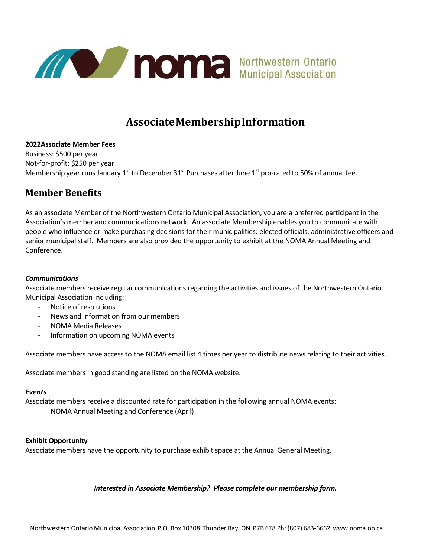

## **AssociateMembershipInformation**

**2022Associate Member Fees** Business: \$500 per year Not-for-profit: \$250 per year Membership year runs January 1<sup>st</sup> to December 31<sup>st</sup> Purchases after June 1<sup>st</sup> pro-rated to 50% of annual fee.

### **Member Benefits**

As an associate Member of the Northwestern Ontario Municipal Association, you are a preferred participant in the Association's member and communications network. An associate Membership enables you to communicate with people who influence or make purchasing decisions for their municipalities: elected officials, administrative officers and senior municipal staff. Members are also provided the opportunity to exhibit at the NOMA Annual Meeting and Conference.

#### *Communications*

Associate members receive regular communications regarding the activities and issues of the Northwestern Ontario Municipal Association including:

- Notice of resolutions
- News and Information from our members
- NOMA Media Releases
- Information on upcoming NOMA events

Associate members have access to the NOMA email list 4 times per year to distribute news relating to their activities.

Associate members in good standing are listed on the NOMA website.

#### *Events*

Associate members receive a discounted rate for participation in the following annual NOMA events: NOMA Annual Meeting and Conference (April)

#### **Exhibit Opportunity**

Associate members have the opportunity to purchase exhibit space at the Annual General Meeting.

#### *Interested in Associate Membership? Please complete our membership form.*